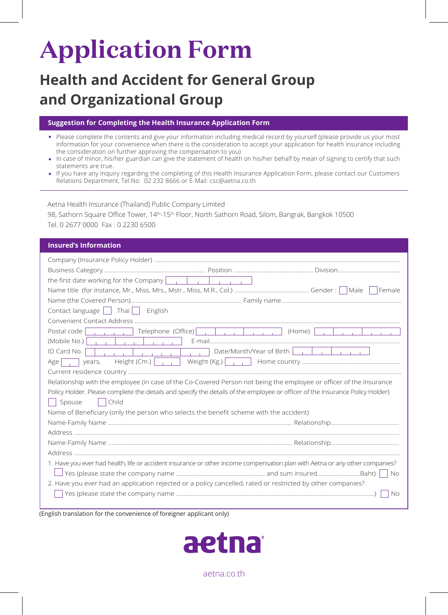# **Application Form**

## **Health and Accident for General Group and Organizational Group**

### **Suggestion for Completing the Health Insurance Application Form**

- Please complete the contents and give your information including medical record by yourself (please provide us your most information for your convenience when there is the consideration to accept your application for health insurance including the consideration on further approving the compensation to you)
- In case of minor, his/her guardian can give the statement of health on his/her behalf by mean of signing to certify that such statements are true.
- If you have any inquiry regarding the completing of this Health Insurance Application Form, please contact our Customers Relations Department, Tel.No. 02 232 8666 or E-Mail: csc@aetna.co.th

Aetna Health Insurance (Thailand) Public Company Limited 98, Sathorn Square Office Tower, 14th-15th Floor, North Sathorn Road, Silom, Bangrak, Bangkok 10500 Tel. 0 2677 0000 Fax : 0 2230 6500

### **Insured's Information**

| Contact language $\vert$ Thai $\vert$ English                                                                                                      |  |  |  |  |  |
|----------------------------------------------------------------------------------------------------------------------------------------------------|--|--|--|--|--|
|                                                                                                                                                    |  |  |  |  |  |
| Postal code<br>(Home)<br>the company of the company of<br>and the control of the con-                                                              |  |  |  |  |  |
| (Mobile No.) $ $<br>and the book of the contract of the                                                                                            |  |  |  |  |  |
| Date/Month/Year of Birth $\vert \vert$ $\vert$ $\vert$ $\vert$<br>ID Card No.<br>and the company of<br><b>Contract Contract</b><br>and the company |  |  |  |  |  |
| and the company of the com-<br>Height (Cm.) $\vert \cdot \vert$<br>Age<br>years,                                                                   |  |  |  |  |  |
|                                                                                                                                                    |  |  |  |  |  |
| Relationship with the employee (in case of the Co-Covered Person not being the employee or officer of the Insurance                                |  |  |  |  |  |
| Policy Holder. Please complete the details and specify the details of the employee or officer of the Insurance Policy Holder)                      |  |  |  |  |  |
| Child<br>Spouse<br>and the                                                                                                                         |  |  |  |  |  |
| Name of Beneficiary (only the person who selects the benefit scheme with the accident)                                                             |  |  |  |  |  |
|                                                                                                                                                    |  |  |  |  |  |
|                                                                                                                                                    |  |  |  |  |  |
|                                                                                                                                                    |  |  |  |  |  |
|                                                                                                                                                    |  |  |  |  |  |
| 1. Have you ever had health, life or accident insurance or other income compensation plan with Aetna or any other companies?                       |  |  |  |  |  |
| No.                                                                                                                                                |  |  |  |  |  |
| 2. Have you ever had an application rejected or a policy cancelled, rated or restricted by other companies?                                        |  |  |  |  |  |
| <b>No</b>                                                                                                                                          |  |  |  |  |  |
|                                                                                                                                                    |  |  |  |  |  |

(English translation for the convenience of foreigner applicant only)



aetna.co.th